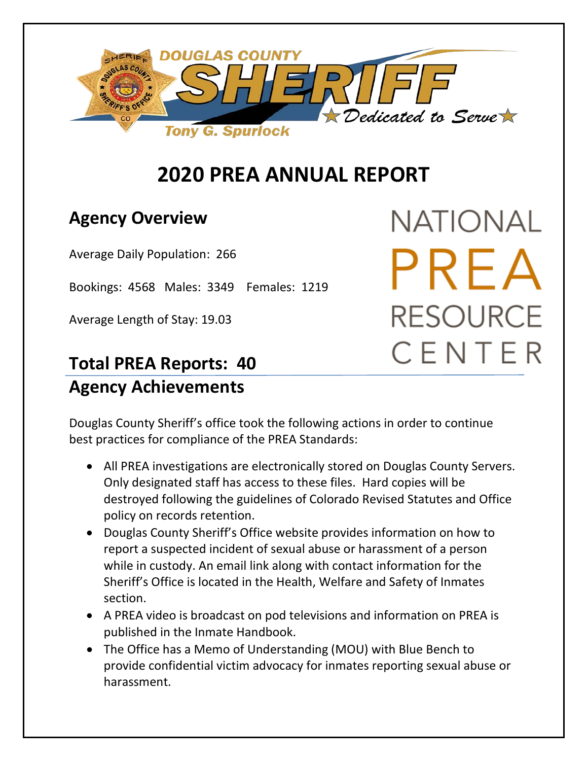

# **2020 PREA ANNUAL REPORT**

### **Agency Overview**

Average Daily Population: 266

Bookings: 4568 Males: 3349 Females: 1219

Average Length of Stay: 19.03

## **Total PREA Reports: 40 Agency Achievements**

NATIONAL PREA **RESOURCE** CENTER

Douglas County Sheriff's office took the following actions in order to continue best practices for compliance of the PREA Standards:

- All PREA investigations are electronically stored on Douglas County Servers. Only designated staff has access to these files. Hard copies will be destroyed following the guidelines of Colorado Revised Statutes and Office policy on records retention.
- Douglas County Sheriff's Office website provides information on how to report a suspected incident of sexual abuse or harassment of a person while in custody. An email link along with contact information for the Sheriff's Office is located in the Health, Welfare and Safety of Inmates section.
- A PREA video is broadcast on pod televisions and information on PREA is published in the Inmate Handbook.
- The Office has a Memo of Understanding (MOU) with Blue Bench to provide confidential victim advocacy for inmates reporting sexual abuse or harassment.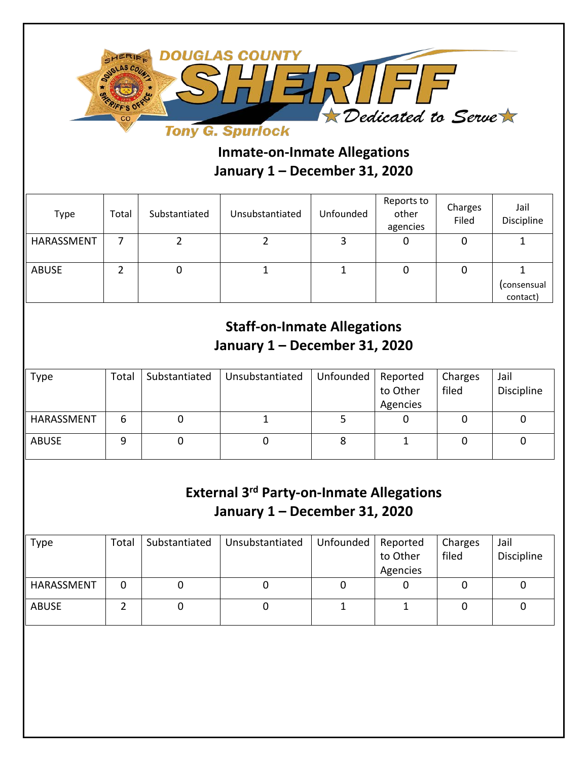

### **Inmate-on-Inmate Allegations January 1 – December 31, 2020**

| Type         | Total | Substantiated | Unsubstantiated | Unfounded | Reports to<br>other<br>agencies | Charges<br>Filed | Jail<br>Discipline      |
|--------------|-------|---------------|-----------------|-----------|---------------------------------|------------------|-------------------------|
| HARASSMENT   |       |               |                 |           | 0                               | 0                |                         |
| <b>ABUSE</b> |       | U             |                 |           | U                               | υ                | (consensual<br>contact) |

#### **Staff-on-Inmate Allegations January 1 – December 31, 2020**

| Type         | Total | Substantiated | Unsubstantiated | Unfounded | Reported<br>to Other | Charges<br>filed | Jail<br>Discipline |
|--------------|-------|---------------|-----------------|-----------|----------------------|------------------|--------------------|
|              |       |               |                 |           | Agencies             |                  |                    |
| HARASSMENT   | 6     |               |                 |           |                      |                  |                    |
| <b>ABUSE</b> | 9     |               |                 |           |                      |                  |                    |
|              |       |               |                 |           |                      |                  |                    |

#### **External 3rd Party-on-Inmate Allegations January 1 – December 31, 2020**

| <b>Type</b>  | Total | Substantiated | Unsubstantiated | Unfounded | Reported<br>to Other<br>Agencies | Charges<br>filed | Jail<br>Discipline |
|--------------|-------|---------------|-----------------|-----------|----------------------------------|------------------|--------------------|
| HARASSMENT   |       |               |                 |           |                                  |                  |                    |
| <b>ABUSE</b> |       |               |                 |           |                                  |                  |                    |